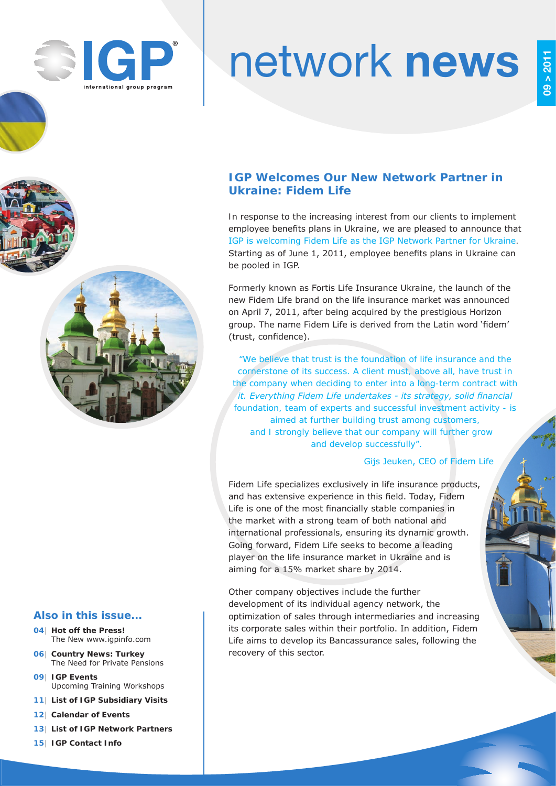

# network news

## **IGP Welcomes Our New Network Partner in Ukraine: Fidem Life**

In response to the increasing interest from our clients to implement employee benefits plans in Ukraine, we are pleased to announce that IGP is welcoming Fidem Life as the IGP Network Partner for Ukraine. Starting as of June 1, 2011, employee benefits plans in Ukraine can be pooled in IGP.

Formerly known as Fortis Life Insurance Ukraine, the launch of the new Fidem Life brand on the life insurance market was announced on April 7, 2011, after being acquired by the prestigious Horizon group. The name Fidem Life is derived from the Latin word 'fidem' (trust, confidence).

*"We believe that trust is the foundation of life insurance and the cornerstone of its success. A client must, above all, have trust in the company when deciding to enter into a long-term contract with it. Everything Fidem Life undertakes - its strategy, solid financial foundation, team of experts and successful investment activity - is aimed at further building trust among customers, and I strongly believe that our company will further grow and develop successfully".*

## Gijs Jeuken, CEO of Fidem Life

Fidem Life specializes exclusively in life insurance products, and has extensive experience in this field. Today, Fidem Life is one of the most financially stable companies in the market with a strong team of both national and international professionals, ensuring its dynamic growth. Going forward, Fidem Life seeks to become a leading player on the life insurance market in Ukraine and is aiming for a 15% market share by 2014.

Other company objectives include the further development of its individual agency network, the optimization of sales through intermediaries and increasing its corporate sales within their portfolio. In addition, Fidem Life aims to develop its Bancassurance sales, following the recovery of this sector.

## **Also in this issue...**

- **04| Hot off the Press!** The New www.igpinfo.com
- **06| Country News: Turkey** The Need for Private Pensions
- **09| IGP Events** Upcoming Training Workshops
- **11| List of IGP Subsidiary Visits**
- **12| Calendar of Events**
- **13| List of IGP Network Partners**
- **15| IGP Contact Info**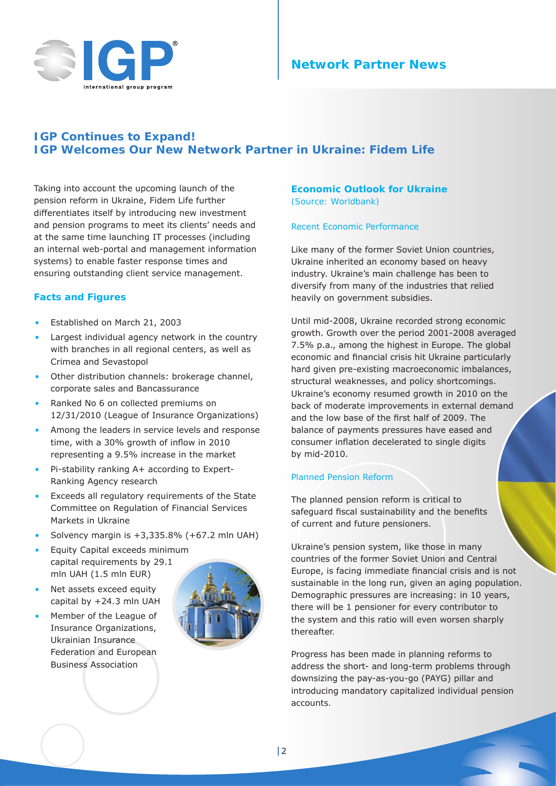



## **IGP Continues to Expand! IGP Welcomes Our New Network Partner in Ukraine: Fidem Life**

Taking into account the upcoming launch of the pension reform in Ukraine, Fidem Life further differentiates itself by introducing new investment and pension programs to meet its clients' needs and at the same time launching IT processes (including an internal web-portal and management information systems) to enable faster response times and ensuring outstanding client service management.

## **Facts and Figures**

- Established on March 21, 2003
- Largest individual agency network in the country with branches in all regional centers, as well as Crimea and Sevastopol
- Other distribution channels: brokerage channel, corporate sales and Bancassurance
- Ranked No 6 on collected premiums on 12/31/2010 (League of Insurance Organizations)
- Among the leaders in service levels and response time, with a 30% growth of inflow in 2010 representing a 9.5% increase in the market
- Pi-stability ranking А+ according to Expert-Ranking Agency research
- Exceeds all regulatory requirements of the State Committee on Regulation of Financial Services Markets in Ukraine
- Solvency margin is +3,335.8% (+67.2 mln UAH)
- Equity Capital exceeds minimum capital requirements by 29.1 mln UAH (1.5 mln EUR)
- Net assets exceed equity capital by +24.3 mln UAH
- Member of the League of Insurance Organizations, Ukrainian Insurance Federation and European Business Association



## **Economic Outlook for Ukraine**  *(Source: Worldbank)*

#### Recent Economic Performance

Like many of the former Soviet Union countries, Ukraine inherited an economy based on heavy industry. Ukraine's main challenge has been to diversify from many of the industries that relied heavily on government subsidies.

Until mid-2008, Ukraine recorded strong economic growth. Growth over the period 2001-2008 averaged 7.5% p.a., among the highest in Europe. The global economic and financial crisis hit Ukraine particularly hard given pre-existing macroeconomic imbalances, structural weaknesses, and policy shortcomings. Ukraine's economy resumed growth in 2010 on the back of moderate improvements in external demand and the low base of the first half of 2009. The balance of payments pressures have eased and consumer inflation decelerated to single digits by mid-2010.

#### Planned Pension Reform

The planned pension reform is critical to safeguard fiscal sustainability and the benefits of current and future pensioners.

Ukraine's pension system, like those in many countries of the former Soviet Union and Central Europe, is facing immediate financial crisis and is not sustainable in the long run, given an aging population. Demographic pressures are increasing: in 10 years, there will be 1 pensioner for every contributor to the system and this ratio will even worsen sharply thereafter.

Progress has been made in planning reforms to address the short- and long-term problems through downsizing the pay-as-you-go (PAYG) pillar and introducing mandatory capitalized individual pension accounts.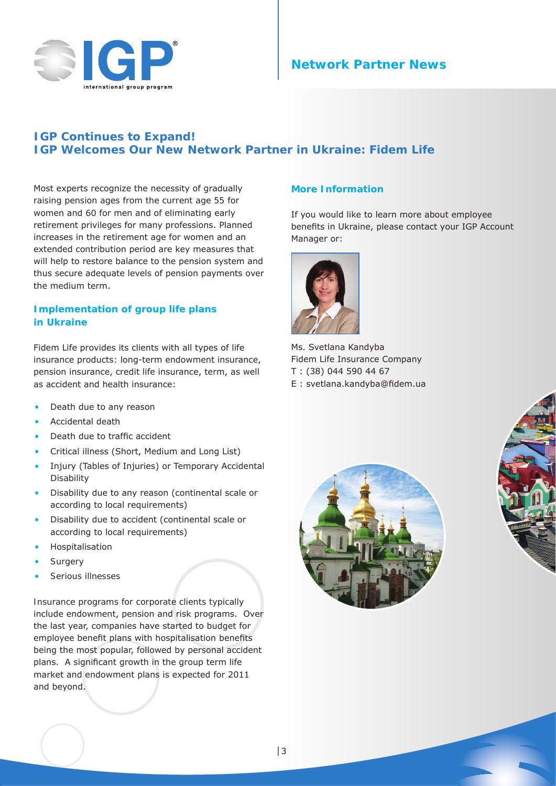

## **Network Partner News**

## **IGP Continues to Expand! IGP Welcomes Our New Network Partner in Ukraine: Fidem Life**

Most experts recognize the necessity of gradually raising pension ages from the current age 55 for women and 60 for men and of eliminating early retirement privileges for many professions. Planned increases in the retirement age for women and an extended contribution period are key measures that will help to restore balance to the pension system and thus secure adequate levels of pension payments over the medium term.

## **Implementation of group life plans in Ukraine**

Fidem Life provides its clients with all types of life insurance products: long-term endowment insurance, pension insurance, credit life insurance, term, as well as accident and health insurance:

- Death due to any reason
- Accidental death
- Death due to traffic accident
- Critical illness (Short, Medium and Long List)
- Injury (Tables of Injuries) or Temporary Accidental Disability
- Disability due to any reason (continental scale or according to local requirements)
- Disability due to accident (continental scale or according to local requirements)
- **Hospitalisation**
- **Surgery**
- Serious illnesses

Insurance programs for corporate clients typically include endowment, pension and risk programs. Over the last year, companies have started to budget for employee benefit plans with hospitalisation benefits being the most popular, followed by personal accident plans. A significant growth in the group term life market and endowment plans is expected for 2011 and beyond.

#### **More Information**

If you would like to learn more about employee benefits in Ukraine, please contact your IGP Account Manager or:



Ms. Svetlana Kandyba Fidem Life Insurance Company T : (38) 044 590 44 67 E : svetlana.kandyba@fidem.ua

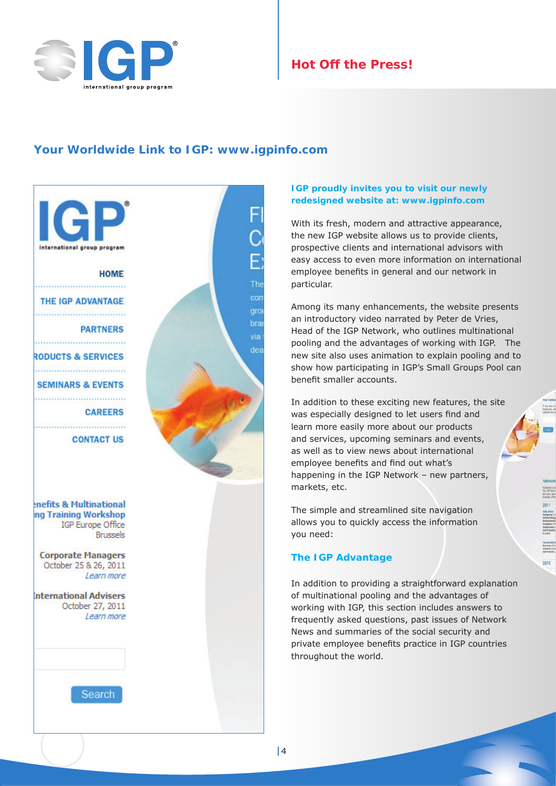

# **Hot Off the Press!**

## **Your Worldwide Link to IGP: www.igpinfo.com**



## **IGP proudly invites you to visit our newly redesigned website at: www.igpinfo.com**

With its fresh, modern and attractive appearance, the new IGP website allows us to provide clients, prospective clients and international advisors with easy access to even more information on international employee benefits in general and our network in particular.

Among its many enhancements, the website presents an introductory video narrated by Peter de Vries, Head of the IGP Network, who outlines multinational pooling and the advantages of working with IGP. The new site also uses animation to explain pooling and to show how participating in IGP's Small Groups Pool can benefit smaller accounts.

In addition to these exciting new features, the site was especially designed to let users find and learn more easily more about our products and services, upcoming seminars and events, as well as to view news about international employee benefits and find out what's happening in the IGP Network – new partners, markets, etc.

The simple and streamlined site navigation allows you to quickly access the information you need:

## **The IGP Advantage**

In addition to providing a straightforward explanation of multinational pooling and the advantages of working with IGP, this section includes answers to frequently asked questions, past issues of Network News and summaries of the social security and private employee benefits practice in IGP countries throughout the world.

 $2010$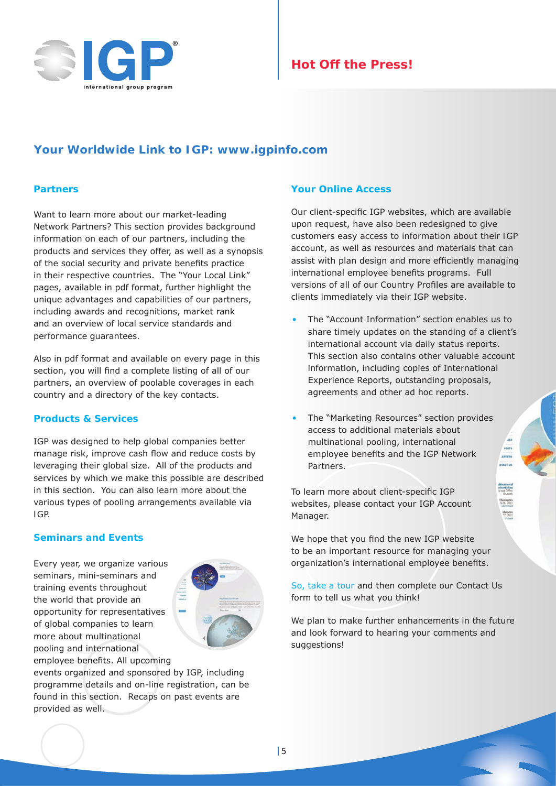

# **Hot Off the Press!**

## **Your Worldwide Link to IGP: www.igpinfo.com**

#### **Partners**

Want to learn more about our market-leading Network Partners? This section provides background information on each of our partners, including the products and services they offer, as well as a synopsis of the social security and private benefits practice in their respective countries. The "Your Local Link" pages, available in pdf format, further highlight the unique advantages and capabilities of our partners, including awards and recognitions, market rank and an overview of local service standards and performance guarantees.

Also in pdf format and available on every page in this section, you will find a complete listing of all of our partners, an overview of poolable coverages in each country and a directory of the key contacts.

#### **Products & Services**

IGP was designed to help global companies better manage risk, improve cash flow and reduce costs by leveraging their global size. All of the products and services by which we make this possible are described in this section. You can also learn more about the various types of pooling arrangements available via IGP.

## **Seminars and Events**

Every year, we organize various seminars, mini-seminars and training events throughout the world that provide an opportunity for representatives of global companies to learn more about multinational pooling and international employee benefits. All upcoming



events organized and sponsored by IGP, including programme details and on-line registration, can be found in this section. Recaps on past events are provided as well.

#### **Your Online Access**

Our client-specific IGP websites, which are available upon request, have also been redesigned to give customers easy access to information about their IGP account, as well as resources and materials that can assist with plan design and more efficiently managing international employee benefits programs. Full versions of all of our Country Profiles are available to clients immediately via their IGP website.

- The "Account Information" section enables us to share timely updates on the standing of a client's international account via daily status reports. This section also contains other valuable account information, including copies of International Experience Reports, outstanding proposals, agreements and other ad hoc reports.
- The "Marketing Resources" section provides access to additional materials about multinational pooling, international employee benefits and the IGP Network Partners.

To learn more about client-specific IGP websites, please contact your IGP Account Manager.

We hope that you find the new IGP website to be an important resource for managing your organization's international employee benefits.

[So, take a](http://www.igpinfo.com) tour and then complete our Contact Us form to tell us what you think!

We plan to make further enhancements in the future and look forward to hearing your comments and suggestions!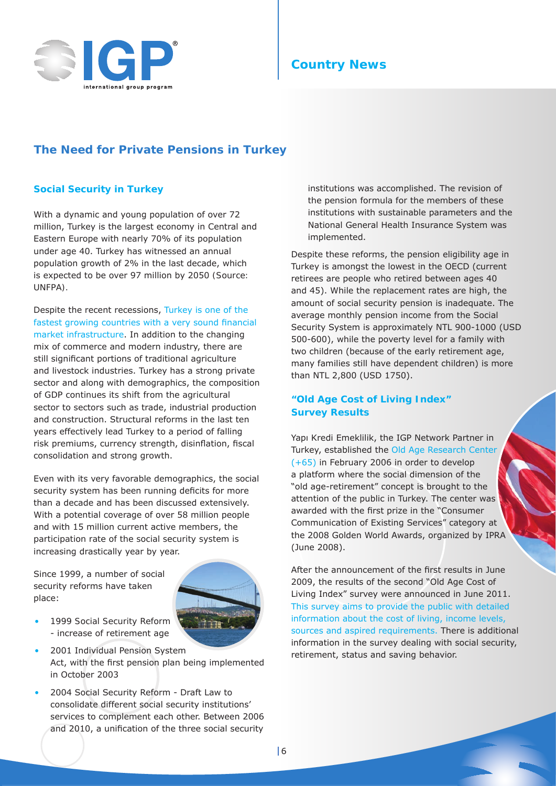

# **Country News**

## **The Need for Private Pensions in Turkey**

## **Social Security in Turkey**

With a dynamic and young population of over 72 million, Turkey is the largest economy in Central and Eastern Europe with nearly 70% of its population under age 40. Turkey has witnessed an annual population growth of 2% in the last decade, which is expected to be over 97 million by 2050 *(Source: UNFPA).*

Despite the recent recessions, Turkey is one of the fastest growing countries with a very sound financial market infrastructure. In addition to the changing mix of commerce and modern industry, there are still significant portions of traditional agriculture and livestock industries. Turkey has a strong private sector and along with demographics, the composition of GDP continues its shift from the agricultural sector to sectors such as trade, industrial production and construction. Structural reforms in the last ten years effectively lead Turkey to a period of falling risk premiums, currency strength, disinflation, fiscal consolidation and strong growth.

Even with its very favorable demographics, the social security system has been running deficits for more than a decade and has been discussed extensively. With a potential coverage of over 58 million people and with 15 million current active members, the participation rate of the social security system is increasing drastically year by year.

Since 1999, a number of social security reforms have taken place:



- 1999 Social Security Reform - increase of retirement age
- 2001 Individual Pension System Act, with the first pension plan being implemented in October 2003
- 2004 Social Security Reform Draft Law to consolidate different social security institutions' services to complement each other. Between 2006 and 2010, a unification of the three social security

institutions was accomplished. The revision of the pension formula for the members of these institutions with sustainable parameters and the National General Health Insurance System was implemented.

Despite these reforms, the pension eligibility age in Turkey is amongst the lowest in the OECD (current retirees are people who retired between ages 40 and 45). While the replacement rates are high, the amount of social security pension is inadequate. The average monthly pension income from the Social Security System is approximately NTL 900-1000 (USD 500-600), while the poverty level for a family with two children (because of the early retirement age, many families still have dependent children) is more than NTL 2,800 (USD 1750).

## **"Old Age Cost of Living Index" Survey Results**

Yapı Kredi Emeklilik, the IGP Network Partner in Turkey, established the Old Age Research Center (+65) in February 2006 in order to develop a platform where the social dimension of the "old age-retirement" concept is brought to the attention of the public in Turkey. The center was awarded with the first prize in the "Consumer Communication of Existing Services" category at the 2008 Golden World Awards, organized by IPRA (June 2008).

After the announcement of the first results in June 2009, the results of the second "Old Age Cost of Living Index" survey were announced in June 2011. This survey aims to provide the public with detailed information about the cost of living, income levels, sources and aspired requirements. There is additional information in the survey dealing with social security, retirement, status and saving behavior.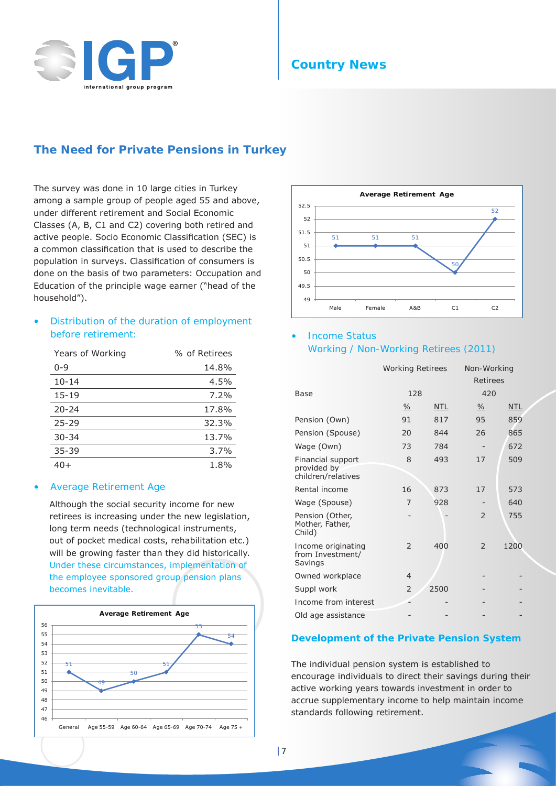

## **Country News**

## **The Need for Private Pensions in Turkey**

The survey was done in 10 large cities in Turkey among a sample group of people aged 55 and above, under different retirement and Social Economic Classes (A, B, C1 and C2) covering both retired and active people. Socio Economic Classification (SEC) is a common classification that is used to describe the population in surveys. Classification of consumers is done on the basis of two parameters: Occupation and Education of the principle wage earner ("head of the household").

## *• Distribution of the duration of employment before retirement:*

| <b>Years of Working</b> | % of Retirees |
|-------------------------|---------------|
| $0 - 9$                 | 14.8%         |
| $10 - 14$               | 4.5%          |
| $15 - 19$               | $7.2\%$       |
| $20 - 24$               | 17.8%         |
| $25 - 29$               | 32.3%         |
| $30 - 34$               | 13.7%         |
| $35 - 39$               | $3.7\%$       |
| 40+                     | 1.8%          |

#### *• Average Retirement Age*

Although the social security income for new retirees is increasing under the new legislation, long term needs (technological instruments, out of pocket medical costs, rehabilitation etc.) will be growing faster than they did historically. Under these circumstances, implementation of the employee sponsored group pension plans becomes inevitable.





## *• Income Status Working / Non-Working Retirees (2011)*

*Working Retirees Non-Working Retirees Base 128 420 % NTL % NTL* Pension (Own) 91 817 95 859 Pension (Spouse) 20 844 26 865 Wage (Own) 73 784 - 672 Financial support provided by children/relatives 8 493 17 509 Rental income 16 873 17 573 Wage (Spouse) 7 928 - 640 Pension (Other, Mother, Father, Child) 2 755 Income originating from Investment/ Savings 2 400 2 1200 Owned workplace 4  $Suppl$  work  $2 \times 2500$ Income from interest Old age assistance

#### **Development of the Private Pension System**

The individual pension system is established to encourage individuals to direct their savings during their active working years towards investment in order to accrue supplementary income to help maintain income standards following retirement.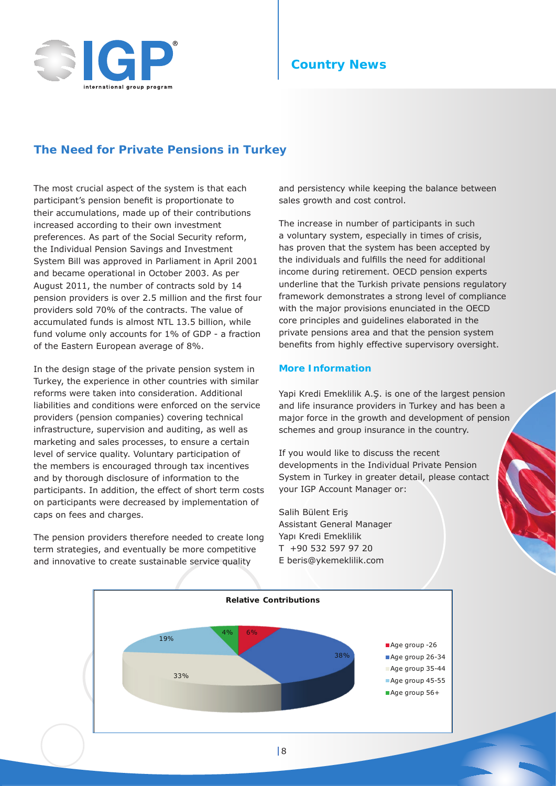

# **Country News**

## **The Need for Private Pensions in Turkey**

The most crucial aspect of the system is that each participant's pension benefit is proportionate to their accumulations, made up of their contributions increased according to their own investment preferences. As part of the Social Security reform, the Individual Pension Savings and Investment System Bill was approved in Parliament in April 2001 and became operational in October 2003. As per August 2011, the number of contracts sold by 14 pension providers is over 2.5 million and the first four providers sold 70% of the contracts. The value of accumulated funds is almost NTL 13.5 billion, while fund volume only accounts for 1% of GDP - a fraction of the Eastern European average of 8%.

In the design stage of the private pension system in Turkey, the experience in other countries with similar reforms were taken into consideration. Additional liabilities and conditions were enforced on the service providers (pension companies) covering technical infrastructure, supervision and auditing, as well as marketing and sales processes, to ensure a certain level of service quality. Voluntary participation of the members is encouraged through tax incentives and by thorough disclosure of information to the participants. In addition, the effect of short term costs on participants were decreased by implementation of caps on fees and charges.

The pension providers therefore needed to create long term strategies, and eventually be more competitive and innovative to create sustainable service quality

and persistency while keeping the balance between sales growth and cost control.

The increase in number of participants in such a voluntary system, especially in times of crisis, has proven that the system has been accepted by the individuals and fulfills the need for additional income during retirement. OECD pension experts underline that the Turkish private pensions regulatory framework demonstrates a strong level of compliance with the major provisions enunciated in the OECD core principles and guidelines elaborated in the private pensions area and that the pension system benefits from highly effective supervisory oversight.

## **More Information**

Yapi Kredi Emeklilik A.Ş. is one of the largest pension and life insurance providers in Turkey and has been a major force in the growth and development of pension schemes and group insurance in the country.

If you would like to discuss the recent developments in the Individual Private Pension System in Turkey in greater detail, please contact your IGP Account Manager or:

Salih Bülent Eriş Assistant General Manager Yapı Kredi Emeklilik T +90 532 597 97 20 E beris@ykemeklilik.com

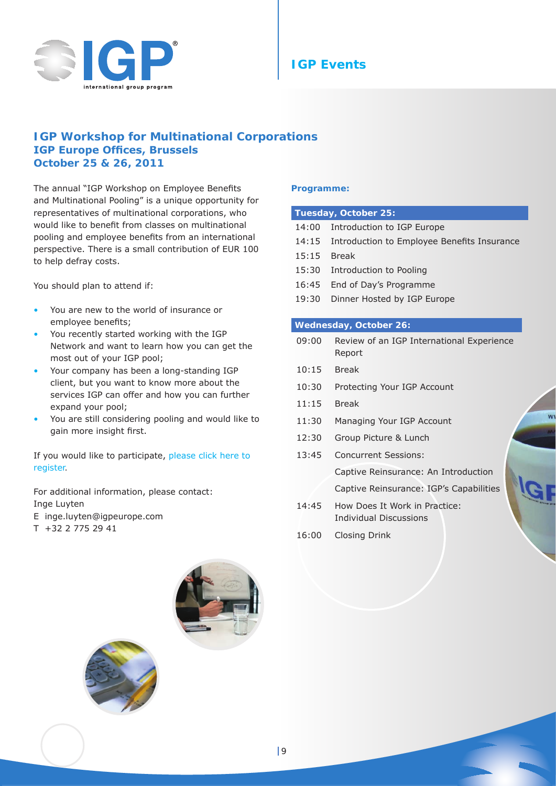

# **IGP Events**

## **IGP Workshop for Multinational Corporations IGP Europe Offices, Brussels October 25 & 26, 2011**

The annual "IGP Workshop on Employee Benefits and Multinational Pooling" is a unique opportunity for representatives of multinational corporations, who would like to benefit from classes on multinational pooling and employee benefits from an international perspective. There is a small contribution of EUR 100 to help defray costs.

You should plan to attend if:

- You are new to the world of insurance or employee benefits;
- You recently started working with the IGP Network and want to learn how you can get the most out of your IGP pool;
- Your company has been a long-standing IGP client, but you want to know more about the services IGP can offer and how you can further expand your pool;
- You are still considering pooling and would like to gain more insight first.

If you would like to participate, [please click here to](http://www.jhsurveys.com/survey/379913/e8e2/)  [register](http://www.jhsurveys.com/survey/379913/e8e2/).

For additional information, please contact: Inge Luyten

- E inge.luyten@igpeurope.com
- T +32 2 775 29 41

## **Programme:**

#### **Tuesday, October 25:**

- 14:00 Introduction to IGP Europe
- 14:15 Introduction to Employee Benefits Insurance
- 15:15 Break
- 15:30 Introduction to Pooling
- 16:45 End of Day's Programme
- 19:30 Dinner Hosted by IGP Europe

#### **Wednesday, October 26:**

- 09:00 Review of an IGP International Experience Report
- 10:15 Break
- 10:30 Protecting Your IGP Account
- 11:15 Break
- 11:30 Managing Your IGP Account
- 12:30 Group Picture & Lunch
- 13:45 Concurrent Sessions: Captive Reinsurance: An Introduction Captive Reinsurance: IGP's Capabilities 14:45 How Does It Work in Practice:
- Individual Discussions
- 16:00 Closing Drink



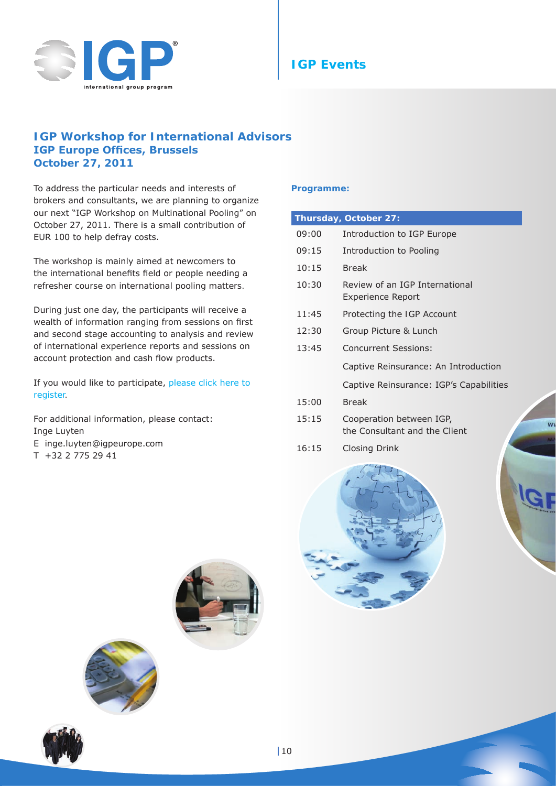

# **IGP Events**

## **IGP Workshop for International Advisors IGP Europe Offices, Brussels October 27, 2011**

To address the particular needs and interests of brokers and consultants, we are planning to organize our next "IGP Workshop on Multinational Pooling" on October 27, 2011. There is a small contribution of EUR 100 to help defray costs.

The workshop is mainly aimed at newcomers to the international benefits field or people needing a refresher course on international pooling matters.

During just one day, the participants will receive a wealth of information ranging from sessions on first and second stage accounting to analysis and review of international experience reports and sessions on account protection and cash flow products.

If you would like to participate, [please click here to](http://www.jhsurveys.com/survey/379913/e8e2/)  [register](http://www.jhsurveys.com/survey/379913/e8e2/).

For additional information, please contact: Inge Luyten E inge.luyten@igpeurope.com

## T +32 2 775 29 41

#### **Programme:**

| Thursday, October 27: |                                                            |  |  |  |
|-----------------------|------------------------------------------------------------|--|--|--|
| 09:00                 | Introduction to IGP Europe                                 |  |  |  |
| 09:15                 | Introduction to Pooling                                    |  |  |  |
| 10:15                 | <b>Break</b>                                               |  |  |  |
| 10:30                 | Review of an IGP International<br><b>Experience Report</b> |  |  |  |
| 11:45                 | Protecting the IGP Account                                 |  |  |  |
| 12:30                 | Group Picture & Lunch                                      |  |  |  |
| 13:45                 | <b>Concurrent Sessions:</b>                                |  |  |  |
|                       | Captive Reinsurance: An Introduction                       |  |  |  |
|                       | Captive Reinsurance: IGP's Capabilities                    |  |  |  |
| 15:00                 | <b>Break</b>                                               |  |  |  |
| 15:15                 | Cooperation between IGP,<br>the Consultant and the Client  |  |  |  |
| 16:15                 | <b>Closing Drink</b>                                       |  |  |  |

 $W$ 







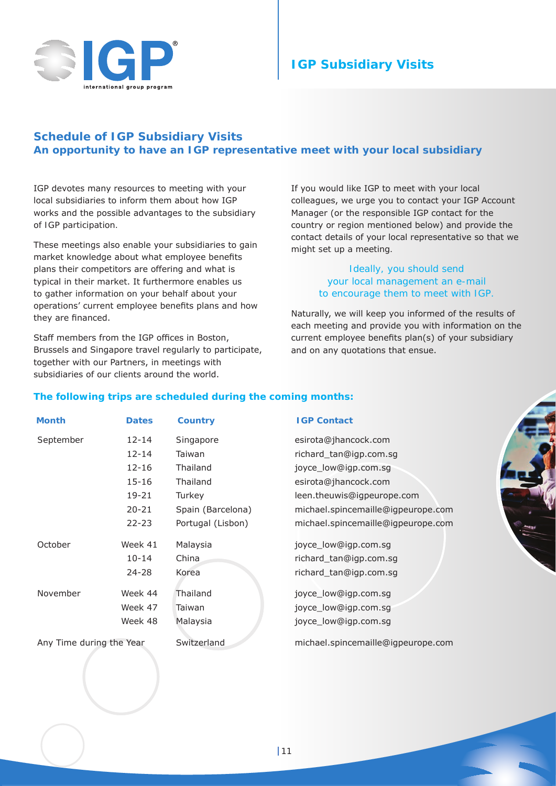

# **IGP Subsidiary Visits**

## **Schedule of IGP Subsidiary Visits An opportunity to have an IGP representative meet with your local subsidiary**

IGP devotes many resources to meeting with your local subsidiaries to inform them about how IGP works and the possible advantages to the subsidiary of IGP participation.

These meetings also enable your subsidiaries to gain market knowledge about what employee benefits plans their competitors are offering and what is typical in their market. It furthermore enables us to gather information on your behalf about your operations' current employee benefits plans and how they are financed.

Staff members from the IGP offices in Boston, Brussels and Singapore travel regularly to participate, together with our Partners, in meetings with subsidiaries of our clients around the world.

If you would like IGP to meet with your local colleagues, we urge you to contact your IGP Account Manager (or the responsible IGP contact for the country or region mentioned below) and provide the contact details of your local representative so that we might set up a meeting.

## *Ideally, you should send your local management an e-mail to encourage them to meet with IGP.*

Naturally, we will keep you informed of the results of each meeting and provide you with information on the current employee benefits plan(s) of your subsidiary and on any quotations that ensue.

## **The following trips are scheduled during the coming months:**

| Month                    | <b>Dates</b> | <b>Country</b>    | <b>IGP Contact</b>                 |
|--------------------------|--------------|-------------------|------------------------------------|
| September                | 12-14        | Singapore         | esirota@jhancock.com               |
|                          | $12 - 14$    | Taiwan            | richard_tan@igp.com.sg             |
|                          | $12 - 16$    | <b>Thailand</b>   | joyce_low@igp.com.sg               |
|                          | 15-16        | Thailand          | esirota@jhancock.com               |
|                          | 19-21        | Turkey            | leen.theuwis@igpeurope.com         |
|                          | $20 - 21$    | Spain (Barcelona) | michael.spincemaille@igpeurope.com |
|                          | $22 - 23$    | Portugal (Lisbon) | michael.spincemaille@igpeurope.com |
| October                  | Week 41      | Malaysia          | joyce_low@igp.com.sg               |
|                          | $10 - 14$    | China             | richard_tan@igp.com.sg             |
|                          | $24 - 28$    | Korea             | richard_tan@igp.com.sg             |
| November                 | Week 44      | Thailand          | joyce_low@igp.com.sg               |
|                          | Week 47      | Taiwan            | joyce_low@igp.com.sg               |
|                          | Week 48      | Malaysia          | joyce_low@igp.com.sg               |
| Any Time during the Year |              | Switzerland       | michael.spincemaille@igpeurope.com |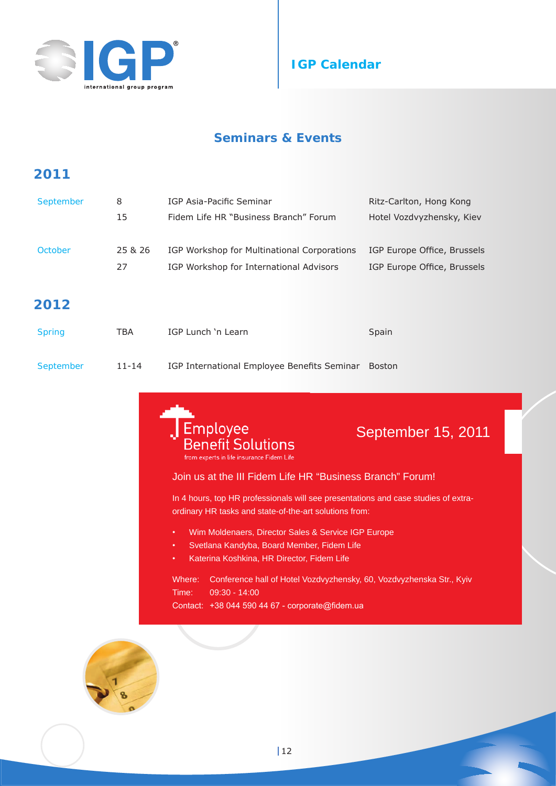



# **Seminars & Events**

# **2011**

| September | 8       | IGP Asia-Pacific Seminar                    | Ritz-Carlton, Hong Kong     |
|-----------|---------|---------------------------------------------|-----------------------------|
|           | 15      | Fidem Life HR "Business Branch" Forum       | Hotel Vozdvyzhensky, Kiev   |
| October   | 25 & 26 | IGP Workshop for Multinational Corporations | IGP Europe Office, Brussels |
|           | 27      | IGP Workshop for International Advisors     | IGP Europe Office, Brussels |
|           |         |                                             |                             |

# **2012**

| <b>Spring</b> | TBA       | IGP Lunch 'n Learn                          | Spain  |
|---------------|-----------|---------------------------------------------|--------|
| September     | $11 - 14$ | IGP International Employee Benefits Seminar | Boston |



# September 15, 2011

## Join us at the III Fidem Life HR "Business Branch" Forum!

In 4 hours, top HR professionals will see presentations and case studies of extraordinary HR tasks and state-of-the-art solutions from:

- • Wim Moldenaers, Director Sales & Service IGP Europe
- Svetlana Kandyba, Board Member, Fidem Life
- • Katerina Koshkina, HR Director, Fidem Life

Where: Conference hall of Hotel Vozdvyzhensky, 60, Vozdvyzhenska Str., Kyiv Time: 09:30 - 14:00 Contact: +38 044 590 44 67 - corporate@fidem.ua

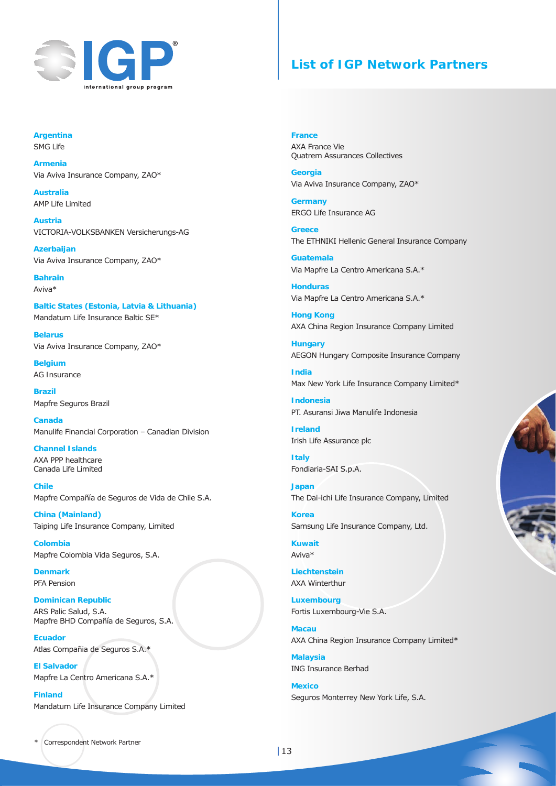

## **List of IGP Network Partners**

**Argentina** SMG Life

**Armenia** Via Aviva Insurance Company, ZAO\*

**Australia** AMP Life Limited

**Austria** VICTORIA-VOLKSBANKEN Versicherungs-AG

**Azerbaijan** Via Aviva Insurance Company, ZAO\*

**Bahrain** Aviva\*

**Baltic States (Estonia, Latvia & Lithuania)** Mandatum Life Insurance Baltic SE\*

**Belarus** Via Aviva Insurance Company, ZAO\*

**Belgium** AG Insurance

**Brazil** Mapfre Seguros Brazil

**Canada** Manulife Financial Corporation – Canadian Division

**Channel Islands** AXA PPP healthcare Canada Life Limited

**Chile** Mapfre Compañía de Seguros de Vida de Chile S.A.

**China (Mainland)** Taiping Life Insurance Company, Limited

**Colombia** Mapfre Colombia Vida Seguros, S.A.

**Denmark** PFA Pension

**Dominican Republic** ARS Palic Salud, S.A. Mapfre BHD Compañía de Seguros, S.A.

**Ecuador** Atlas Compañia de Seguros S.A.\*

**El Salvador** Mapfre La Centro Americana S.A.\*

**Finland** Mandatum Life Insurance Company Limited **France**  AXA France Vie Quatrem Assurances Collectives

**Georgia** Via Aviva Insurance Company, ZAO\*

**Germany** ERGO Life Insurance AG

**Greece** The ETHNIKI Hellenic General Insurance Company

**Guatemala** Via Mapfre La Centro Americana S.A.\*

**Honduras** Via Mapfre La Centro Americana S.A.\*

**Hong Kong** AXA China Region Insurance Company Limited

**Hungary** AEGON Hungary Composite Insurance Company

**India** Max New York Life Insurance Company Limited\*

**Indonesia** PT. Asuransi Jiwa Manulife Indonesia

**Ireland** Irish Life Assurance plc

**Italy** Fondiaria-SAI S.p.A.

**Japan** The Dai-ichi Life Insurance Company, Limited

**Korea** Samsung Life Insurance Company, Ltd.

**Kuwait** Aviva\*

**Liechtenstein** AXA Winterthur

**Luxembourg** Fortis Luxembourg-Vie S.A.

**Macau** AXA China Region Insurance Company Limited\*

**Malaysia** ING Insurance Berhad

**Mexico** Seguros Monterrey New York Life, S.A.

Correspondent Network Partner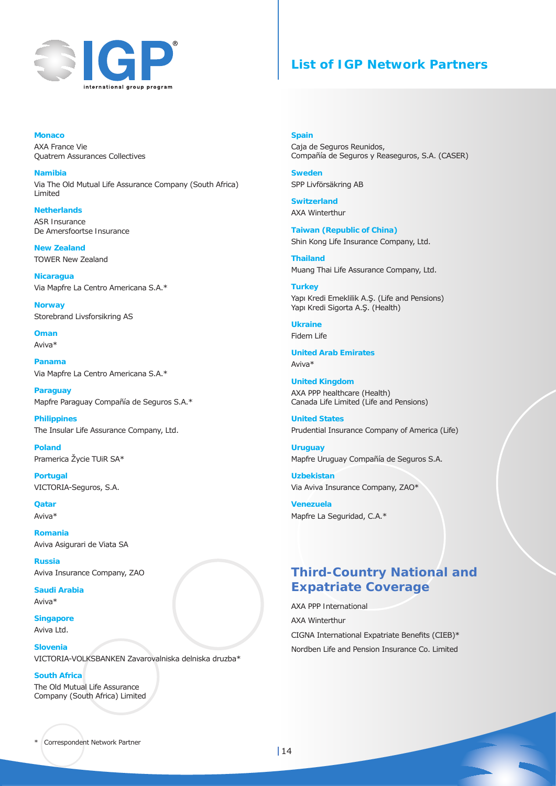

# **List of IGP Network Partners**

**Monaco** AXA France Vie Quatrem Assurances Collectives

**Namibia** Via The Old Mutual Life Assurance Company (South Africa) Limited

**Netherlands** ASR Insurance De Amersfoortse Insurance

**New Zealand** TOWER New Zealand

**Nicaragua**  Via Mapfre La Centro Americana S.A.\*

**Norway** Storebrand Livsforsikring AS

**Oman** Aviva\*

**Panama** Via Mapfre La Centro Americana S.A.\*

**Paraguay** Mapfre Paraguay Compañía de Seguros S.A.\*

**Philippines** The Insular Life Assurance Company, Ltd.

**Poland** Pramerica Žycie TUiR SA\*

**Portugal** VICTORIA-Seguros, S.A.

**Qatar** Aviva\*

**Romania** Aviva Asigurari de Viata SA

**Russia** Aviva Insurance Company, ZAO

**Saudi Arabia** Aviva\*

**Singapore** Aviva Ltd.

**Slovenia**

VICTORIA-VOLKSBANKEN Zavarovalniska delniska druzba\*

#### **South Africa**

The Old Mutual Life Assurance Company (South Africa) Limited

#### **Spain**

Caja de Seguros Reunidos, Compañía de Seguros y Reaseguros, S.A. (CASER)

**Sweden** SPP Livförsäkring AB

**Switzerland** AXA Winterthur

**Taiwan (Republic of China)** Shin Kong Life Insurance Company, Ltd.

**Thailand** Muang Thai Life Assurance Company, Ltd.

**Turkey** Yapı Kredi Emeklilik A.Ş. (Life and Pensions) Yapı Kredi Sigorta A.Ş. (Health)

**Ukraine** Fidem Life

**United Arab Emirates**

Aviva\*

**United Kingdom** AXA PPP healthcare (Health) Canada Life Limited (Life and Pensions)

**United States** Prudential Insurance Company of America (Life)

**Uruguay** Mapfre Uruguay Compañía de Seguros S.A.

**Uzbekistan** Via Aviva Insurance Company, ZAO\*

**Venezuela** Mapfre La Seguridad, C.A.\*

# **Third-Country National and Expatriate Coverage**

AXA PPP International AXA Winterthur CIGNA International Expatriate Benefits (CIEB)\* Nordben Life and Pension Insurance Co. Limited

Correspondent Network Partner